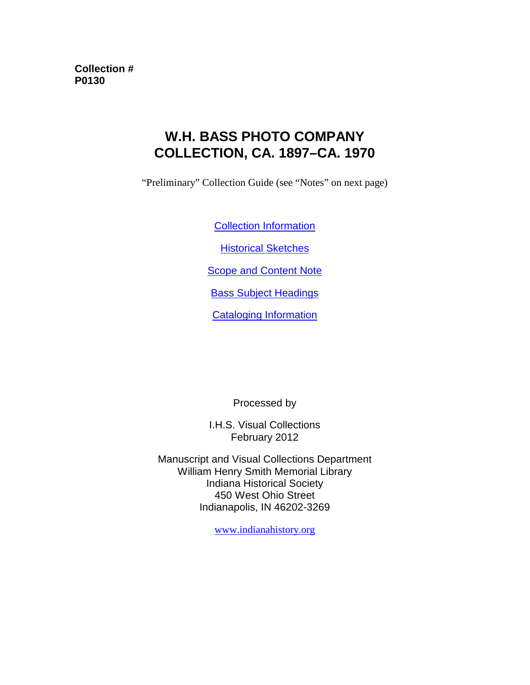**Collection # P0130**

# **W.H. BASS PHOTO COMPANY COLLECTION, CA. 1897–CA. 1970**

"Preliminary" Collection Guide (see "Notes" on next page)

[Collection Information](#page-1-0)

**[Historical Sketches](#page-2-0)** 

**[Scope and Content Note](#page-4-0)** 

[Bass Subject Headings](#page-5-0)

[Cataloging Information](#page-9-0)

Processed by

I.H.S. Visual Collections February 2012

Manuscript and Visual Collections Department William Henry Smith Memorial Library Indiana Historical Society 450 West Ohio Street Indianapolis, IN 46202-3269

[www.indianahistory.org](http://www.indianahistory.org/)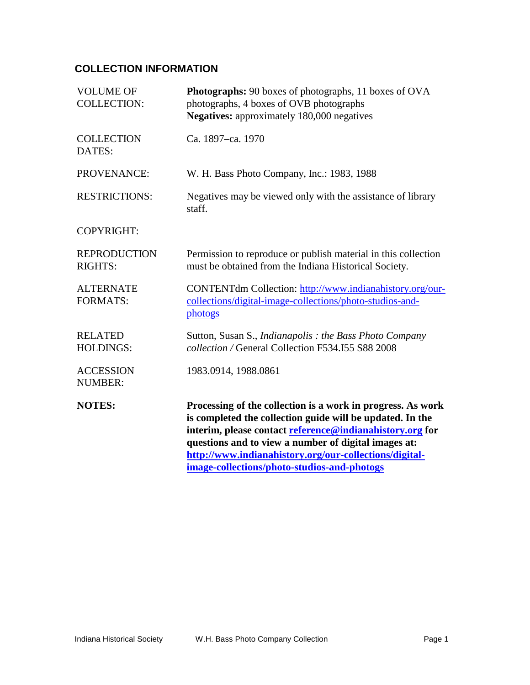## <span id="page-1-0"></span>**COLLECTION INFORMATION**

| <b>VOLUME OF</b><br><b>COLLECTION:</b> | <b>Photographs:</b> 90 boxes of photographs, 11 boxes of OVA<br>photographs, 4 boxes of OVB photographs<br><b>Negatives:</b> approximately 180,000 negatives                                                                                                                                                                                          |
|----------------------------------------|-------------------------------------------------------------------------------------------------------------------------------------------------------------------------------------------------------------------------------------------------------------------------------------------------------------------------------------------------------|
| <b>COLLECTION</b><br>DATES:            | Ca. 1897–ca. 1970                                                                                                                                                                                                                                                                                                                                     |
| PROVENANCE:                            | W. H. Bass Photo Company, Inc.: 1983, 1988                                                                                                                                                                                                                                                                                                            |
| <b>RESTRICTIONS:</b>                   | Negatives may be viewed only with the assistance of library<br>staff.                                                                                                                                                                                                                                                                                 |
| <b>COPYRIGHT:</b>                      |                                                                                                                                                                                                                                                                                                                                                       |
| <b>REPRODUCTION</b><br><b>RIGHTS:</b>  | Permission to reproduce or publish material in this collection<br>must be obtained from the Indiana Historical Society.                                                                                                                                                                                                                               |
| <b>ALTERNATE</b><br><b>FORMATS:</b>    | CONTENTdm Collection: http://www.indianahistory.org/our-<br>collections/digital-image-collections/photo-studios-and-<br>photogs                                                                                                                                                                                                                       |
| <b>RELATED</b><br><b>HOLDINGS:</b>     | Sutton, Susan S., Indianapolis: the Bass Photo Company<br>collection / General Collection F534.155 S88 2008                                                                                                                                                                                                                                           |
| <b>ACCESSION</b><br><b>NUMBER:</b>     | 1983.0914, 1988.0861                                                                                                                                                                                                                                                                                                                                  |
| <b>NOTES:</b>                          | Processing of the collection is a work in progress. As work<br>is completed the collection guide will be updated. In the<br>interim, please contact reference@indianahistory.org for<br>questions and to view a number of digital images at:<br>http://www.indianahistory.org/our-collections/digital-<br>image-collections/photo-studios-and-photogs |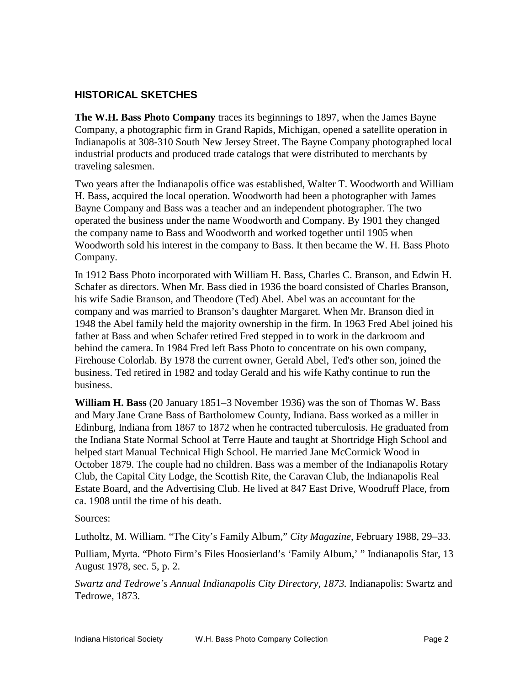### <span id="page-2-0"></span>**HISTORICAL SKETCHES**

**The W.H. Bass Photo Company** traces its beginnings to 1897, when the James Bayne Company, a photographic firm in Grand Rapids, Michigan, opened a satellite operation in Indianapolis at 308-310 South New Jersey Street. The Bayne Company photographed local industrial products and produced trade catalogs that were distributed to merchants by traveling salesmen.

Two years after the Indianapolis office was established, Walter T. Woodworth and William H. Bass, acquired the local operation. Woodworth had been a photographer with James Bayne Company and Bass was a teacher and an independent photographer. The two operated the business under the name Woodworth and Company. By 1901 they changed the company name to Bass and Woodworth and worked together until 1905 when Woodworth sold his interest in the company to Bass. It then became the W. H. Bass Photo Company.

In 1912 Bass Photo incorporated with William H. Bass, Charles C. Branson, and Edwin H. Schafer as directors. When Mr. Bass died in 1936 the board consisted of Charles Branson, his wife Sadie Branson, and Theodore (Ted) Abel. Abel was an accountant for the company and was married to Branson's daughter Margaret. When Mr. Branson died in 1948 the Abel family held the majority ownership in the firm. In 1963 Fred Abel joined his father at Bass and when Schafer retired Fred stepped in to work in the darkroom and behind the camera. In 1984 Fred left Bass Photo to concentrate on his own company, Firehouse Colorlab. By 1978 the current owner, Gerald Abel, Ted's other son, joined the business. Ted retired in 1982 and today Gerald and his wife Kathy continue to run the business.

**William H. Bass** (20 January 1851−3 November 1936) was the son of Thomas W. Bass and Mary Jane Crane Bass of Bartholomew County, Indiana. Bass worked as a miller in Edinburg, Indiana from 1867 to 1872 when he contracted tuberculosis. He graduated from the Indiana State Normal School at Terre Haute and taught at Shortridge High School and helped start Manual Technical High School. He married Jane McCormick Wood in October 1879. The couple had no children. Bass was a member of the Indianapolis Rotary Club, the Capital City Lodge, the Scottish Rite, the Caravan Club, the Indianapolis Real Estate Board, and the Advertising Club. He lived at 847 East Drive, Woodruff Place, from ca. 1908 until the time of his death.

Sources:

Lutholtz, M. William. "The City's Family Album," *City Magazine*, February 1988, 29−33.

Pulliam, Myrta. "Photo Firm's Files Hoosierland's 'Family Album,' " Indianapolis Star, 13 August 1978, sec. 5, p. 2.

*Swartz and Tedrowe's Annual Indianapolis City Directory, 1873.* Indianapolis: Swartz and Tedrowe, 1873.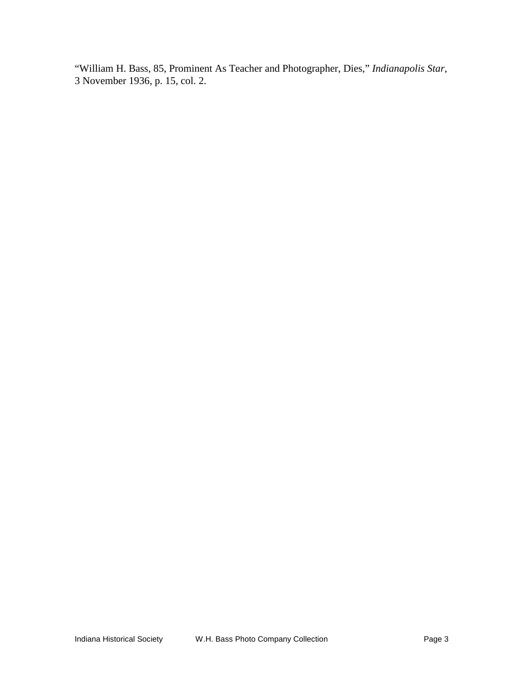"William H. Bass, 85, Prominent As Teacher and Photographer, Dies," *Indianapolis Star*, 3 November 1936, p. 15, col. 2.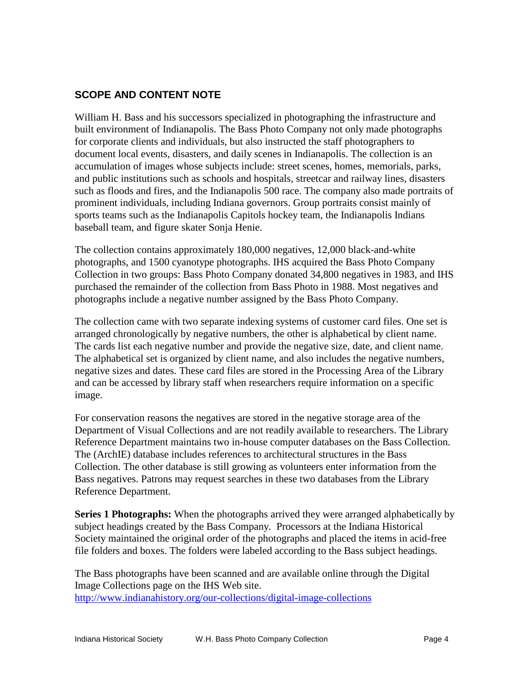#### <span id="page-4-0"></span>**SCOPE AND CONTENT NOTE**

William H. Bass and his successors specialized in photographing the infrastructure and built environment of Indianapolis. The Bass Photo Company not only made photographs for corporate clients and individuals, but also instructed the staff photographers to document local events, disasters, and daily scenes in Indianapolis. The collection is an accumulation of images whose subjects include: street scenes, homes, memorials, parks, and public institutions such as schools and hospitals, streetcar and railway lines, disasters such as floods and fires, and the Indianapolis 500 race. The company also made portraits of prominent individuals, including Indiana governors. Group portraits consist mainly of sports teams such as the Indianapolis Capitols hockey team, the Indianapolis Indians baseball team, and figure skater Sonja Henie.

The collection contains approximately 180,000 negatives, 12,000 black-and-white photographs, and 1500 cyanotype photographs. IHS acquired the Bass Photo Company Collection in two groups: Bass Photo Company donated 34,800 negatives in 1983, and IHS purchased the remainder of the collection from Bass Photo in 1988. Most negatives and photographs include a negative number assigned by the Bass Photo Company.

The collection came with two separate indexing systems of customer card files. One set is arranged chronologically by negative numbers, the other is alphabetical by client name. The cards list each negative number and provide the negative size, date, and client name. The alphabetical set is organized by client name, and also includes the negative numbers, negative sizes and dates. These card files are stored in the Processing Area of the Library and can be accessed by library staff when researchers require information on a specific image.

For conservation reasons the negatives are stored in the negative storage area of the Department of Visual Collections and are not readily available to researchers. The Library Reference Department maintains two in-house computer databases on the Bass Collection. The (ArchIE) database includes references to architectural structures in the Bass Collection. The other database is still growing as volunteers enter information from the Bass negatives. Patrons may request searches in these two databases from the Library Reference Department.

**Series 1 Photographs:** When the photographs arrived they were arranged alphabetically by subject headings created by the Bass Company. Processors at the Indiana Historical Society maintained the original order of the photographs and placed the items in acid-free file folders and boxes. The folders were labeled according to the Bass subject headings.

The Bass photographs have been scanned and are available online through the Digital Image Collections page on the IHS Web site. <http://www.indianahistory.org/our-collections/digital-image-collections>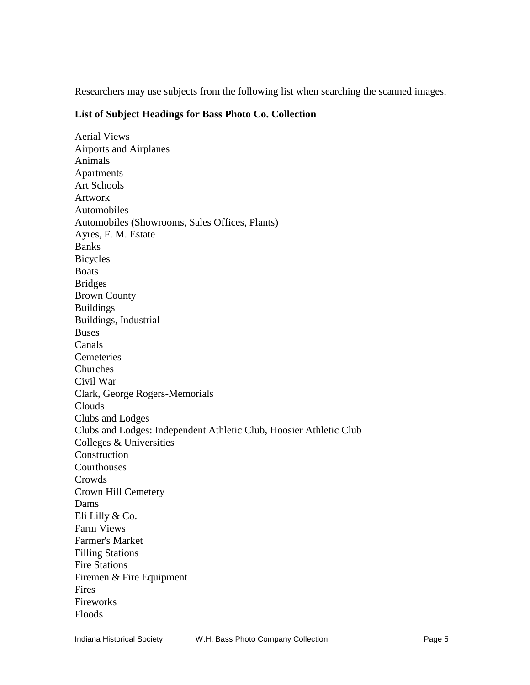Researchers may use subjects from the following list when searching the scanned images.

#### <span id="page-5-0"></span>**List of Subject Headings for Bass Photo Co. Collection**

Aerial Views Airports and Airplanes Animals **Apartments** Art Schools Artwork Automobiles Automobiles (Showrooms, Sales Offices, Plants) Ayres, F. M. Estate Banks Bicycles Boats Bridges Brown County Buildings Buildings, Industrial Buses Canals Cemeteries Churches Civil War Clark, George Rogers-Memorials Clouds Clubs and Lodges Clubs and Lodges: Independent Athletic Club, Hoosier Athletic Club Colleges & Universities **Construction Courthouses** Crowds Crown Hill Cemetery Dams Eli Lilly & Co. Farm Views Farmer's Market Filling Stations Fire Stations Firemen & Fire Equipment Fires Fireworks Floods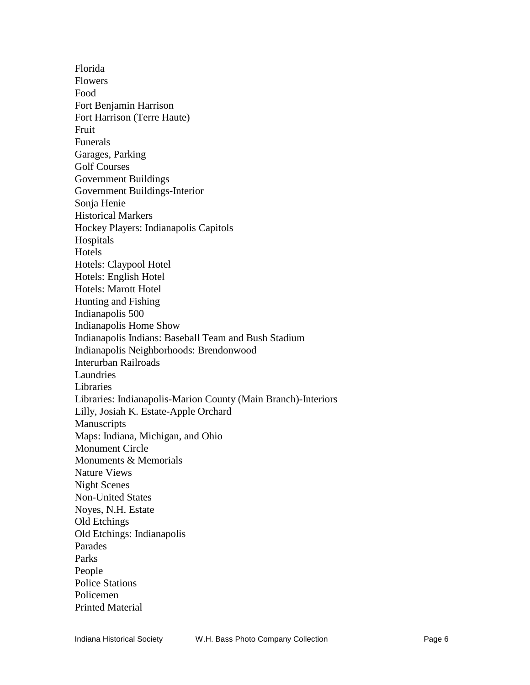Florida Flowers Food Fort Benjamin Harrison Fort Harrison (Terre Haute) Fruit Funerals Garages, Parking Golf Courses Government Buildings Government Buildings-Interior Sonja Henie Historical Markers Hockey Players: Indianapolis Capitols Hospitals Hotels Hotels: Claypool Hotel Hotels: English Hotel Hotels: Marott Hotel Hunting and Fishing Indianapolis 500 Indianapolis Home Show Indianapolis Indians: Baseball Team and Bush Stadium Indianapolis Neighborhoods: Brendonwood Interurban Railroads Laundries Libraries Libraries: Indianapolis-Marion County (Main Branch)-Interiors Lilly, Josiah K. Estate-Apple Orchard Manuscripts Maps: Indiana, Michigan, and Ohio Monument Circle Monuments & Memorials Nature Views Night Scenes Non-United States Noyes, N.H. Estate Old Etchings Old Etchings: Indianapolis Parades Parks People Police Stations Policemen Printed Material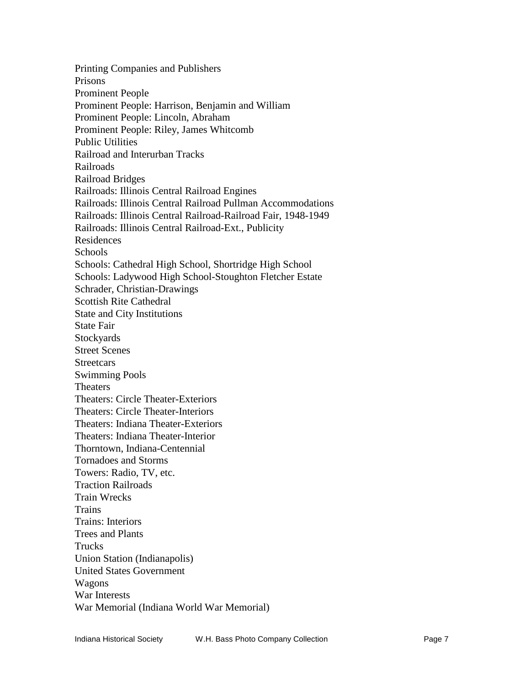Printing Companies and Publishers Prisons Prominent People Prominent People: Harrison, Benjamin and William Prominent People: Lincoln, Abraham Prominent People: Riley, James Whitcomb Public Utilities Railroad and Interurban Tracks Railroads Railroad Bridges Railroads: Illinois Central Railroad Engines Railroads: Illinois Central Railroad Pullman Accommodations Railroads: Illinois Central Railroad-Railroad Fair, 1948-1949 Railroads: Illinois Central Railroad-Ext., Publicity Residences Schools Schools: Cathedral High School, Shortridge High School Schools: Ladywood High School-Stoughton Fletcher Estate Schrader, Christian-Drawings Scottish Rite Cathedral State and City Institutions State Fair **Stockyards** Street Scenes **Streetcars** Swimming Pools Theaters Theaters: Circle Theater-Exteriors Theaters: Circle Theater-Interiors Theaters: Indiana Theater-Exteriors Theaters: Indiana Theater-Interior Thorntown, Indiana-Centennial Tornadoes and Storms Towers: Radio, TV, etc. Traction Railroads Train Wrecks **Trains** Trains: Interiors Trees and Plants **Trucks** Union Station (Indianapolis) United States Government Wagons War Interests War Memorial (Indiana World War Memorial)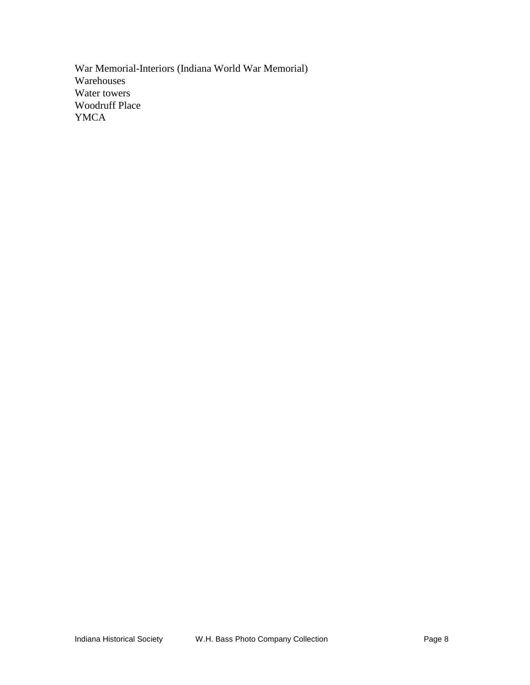War Memorial-Interiors (Indiana World War Memorial) Warehouses Water towers Woodruff Place YMCA